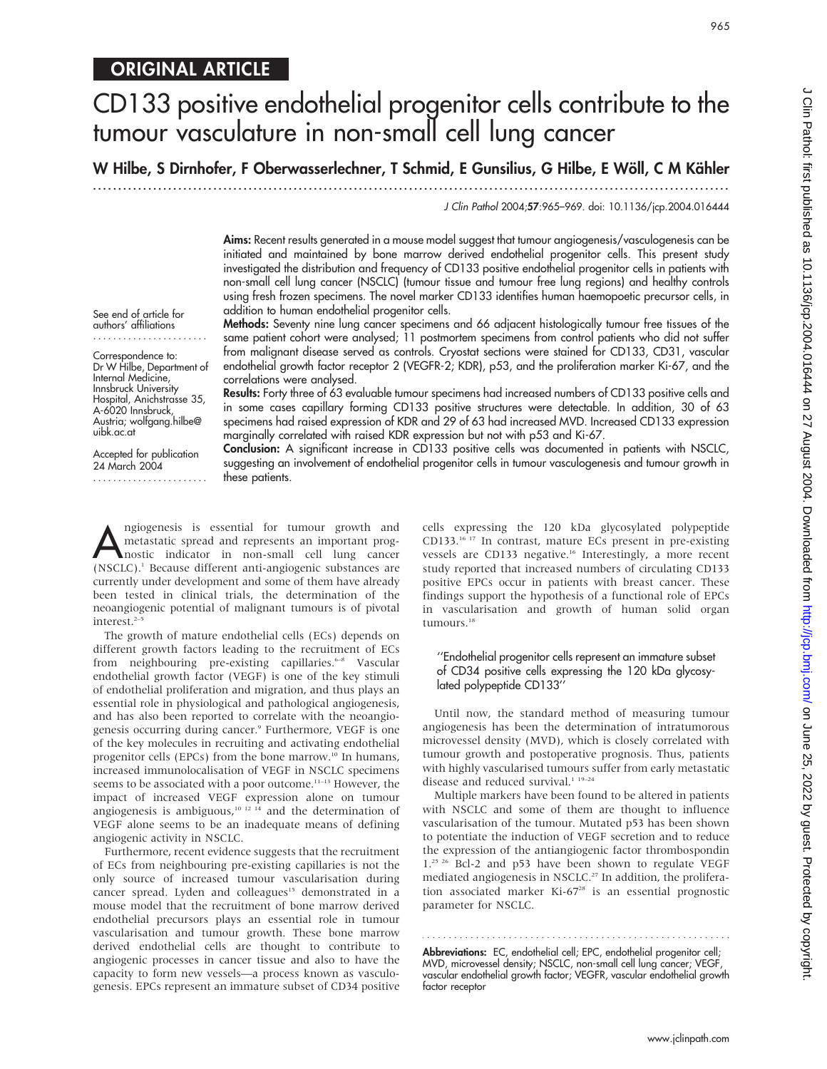# ORIGINAL ARTICLE

# CD133 positive endothelial progenitor cells contribute to the tumour vasculature in non-small cell lung cancer

W Hilbe, S Dirnhofer, F Oberwasserlechner, T Schmid, E Gunsilius, G Hilbe, E Wöll, C M Kähler

...............................................................................................................................

J Clin Pathol 2004;57:965–969. doi: 10.1136/jcp.2004.016444

Aims: Recent results generated in a mouse model suggest that tumour angiogenesis/vasculogenesis can be initiated and maintained by bone marrow derived endothelial progenitor cells. This present study investigated the distribution and frequency of CD133 positive endothelial progenitor cells in patients with non-small cell lung cancer (NSCLC) (tumour tissue and tumour free lung regions) and healthy controls using fresh frozen specimens. The novel marker CD133 identifies human haemopoetic precursor cells, in addition to human endothelial progenitor cells. Methods: Seventy nine lung cancer specimens and 66 adjacent histologically tumour free tissues of the

same patient cohort were analysed; 11 postmortem specimens from control patients who did not suffer from malignant disease served as controls. Cryostat sections were stained for CD133, CD31, vascular endothelial growth factor receptor 2 (VEGFR-2; KDR), p53, and the proliferation marker Ki-67, and the

See end of article for authors' affiliations .......................

Correspondence to: Dr W Hilbe, Department of Internal Medicine, Innsbruck University Hospital, Anichstrasse 35, A-6020 Innsbruck, Austria; wolfgang.hilbe@ uibk.ac.at

correlations were analysed. Results: Forty three of 63 evaluable tumour specimens had increased numbers of CD133 positive cells and in some cases capillary forming CD133 positive structures were detectable. In addition, 30 of 63 specimens had raised expression of KDR and 29 of 63 had increased MVD. Increased CD133 expression marginally correlated with raised KDR expression but not with p53 and Ki-67.

Accepted for publication 24 March 2004 ....................... Conclusion: A significant increase in CD133 positive cells was documented in patients with NSCLC, suggesting an involvement of endothelial progenitor cells in tumour vasculogenesis and tumour growth in these patients.

**A**ngiogenesis is essential for tumour growth and<br>
metastatic spread and represents an important prog-<br>
nostic indicator in non-small cell lung cancer<br>
NISCIC 1.1 Because different anti-angiogenic substances are metastatic spread and represents an important prog-(NSCLC).1 Because different anti-angiogenic substances are currently under development and some of them have already been tested in clinical trials, the determination of the neoangiogenic potential of malignant tumours is of pivotal interest.<sup>2–5</sup>

The growth of mature endothelial cells (ECs) depends on different growth factors leading to the recruitment of ECs from neighbouring pre-existing capillaries.<sup>6-8</sup> Vascular endothelial growth factor (VEGF) is one of the key stimuli of endothelial proliferation and migration, and thus plays an essential role in physiological and pathological angiogenesis, and has also been reported to correlate with the neoangiogenesis occurring during cancer.<sup>9</sup> Furthermore, VEGF is one of the key molecules in recruiting and activating endothelial progenitor cells (EPCs) from the bone marrow.<sup>10</sup> In humans, increased immunolocalisation of VEGF in NSCLC specimens seems to be associated with a poor outcome.<sup>11-13</sup> However, the impact of increased VEGF expression alone on tumour angiogenesis is ambiguous,<sup>10 12 14</sup> and the determination of VEGF alone seems to be an inadequate means of defining angiogenic activity in NSCLC.

Furthermore, recent evidence suggests that the recruitment of ECs from neighbouring pre-existing capillaries is not the only source of increased tumour vascularisation during cancer spread. Lyden and colleagues<sup>15</sup> demonstrated in a mouse model that the recruitment of bone marrow derived endothelial precursors plays an essential role in tumour vascularisation and tumour growth. These bone marrow derived endothelial cells are thought to contribute to angiogenic processes in cancer tissue and also to have the capacity to form new vessels—a process known as vasculogenesis. EPCs represent an immature subset of CD34 positive cells expressing the 120 kDa glycosylated polypeptide CD133.16 17 In contrast, mature ECs present in pre-existing vessels are CD133 negative.<sup>16</sup> Interestingly, a more recent study reported that increased numbers of circulating CD133 positive EPCs occur in patients with breast cancer. These findings support the hypothesis of a functional role of EPCs in vascularisation and growth of human solid organ tumours.<sup>18</sup>

# ''Endothelial progenitor cells represent an immature subset of CD34 positive cells expressing the 120 kDa glycosylated polypeptide CD133''

Until now, the standard method of measuring tumour angiogenesis has been the determination of intratumorous microvessel density (MVD), which is closely correlated with tumour growth and postoperative prognosis. Thus, patients with highly vascularised tumours suffer from early metastatic disease and reduced survival.<sup>1</sup> <sup>19-24</sup>

Multiple markers have been found to be altered in patients with NSCLC and some of them are thought to influence vascularisation of the tumour. Mutated p53 has been shown to potentiate the induction of VEGF secretion and to reduce the expression of the antiangiogenic factor thrombospondin 1.<sup>25 26</sup> Bcl-2 and p53 have been shown to regulate VEGF mediated angiogenesis in NSCLC.<sup>27</sup> In addition, the proliferation associated marker Ki-67<sup>28</sup> is an essential prognostic parameter for NSCLC.

Abbreviations: EC, endothelial cell; EPC, endothelial progenitor cell; MVD, microvessel density; NSCLC, non-small cell lung cancer; VEGF, vascular endothelial growth factor; VEGFR, vascular endothelial growth factor receptor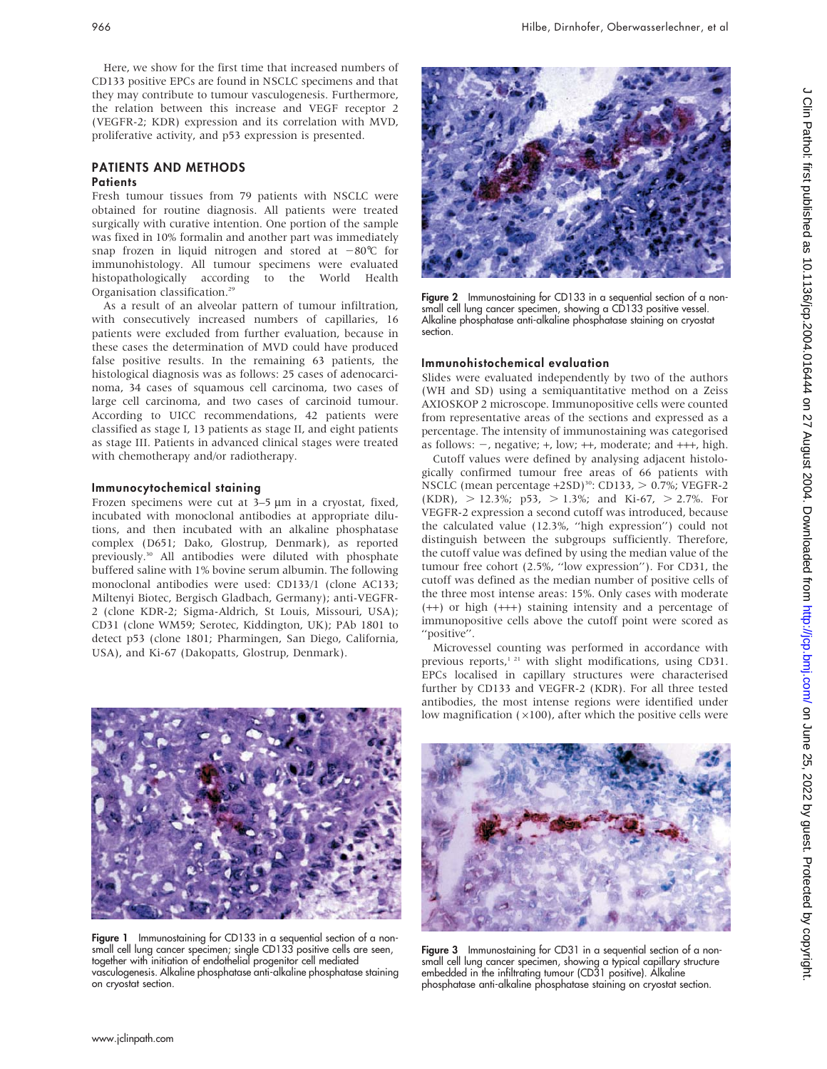Here, we show for the first time that increased numbers of CD133 positive EPCs are found in NSCLC specimens and that they may contribute to tumour vasculogenesis. Furthermore, the relation between this increase and VEGF receptor 2 (VEGFR-2; KDR) expression and its correlation with MVD, proliferative activity, and p53 expression is presented.

#### PATIENTS AND METHODS **Patients**

Fresh tumour tissues from 79 patients with NSCLC were obtained for routine diagnosis. All patients were treated surgically with curative intention. One portion of the sample was fixed in 10% formalin and another part was immediately snap frozen in liquid nitrogen and stored at  $-80^{\circ}$ C for immunohistology. All tumour specimens were evaluated histopathologically according to the World Health Organisation classification.29

As a result of an alveolar pattern of tumour infiltration, with consecutively increased numbers of capillaries, 16 patients were excluded from further evaluation, because in these cases the determination of MVD could have produced false positive results. In the remaining 63 patients, the histological diagnosis was as follows: 25 cases of adenocarcinoma, 34 cases of squamous cell carcinoma, two cases of large cell carcinoma, and two cases of carcinoid tumour. According to UICC recommendations, 42 patients were classified as stage I, 13 patients as stage II, and eight patients as stage III. Patients in advanced clinical stages were treated with chemotherapy and/or radiotherapy.

#### Immunocytochemical staining

Frozen specimens were cut at  $3-5 \mu m$  in a cryostat, fixed, incubated with monoclonal antibodies at appropriate dilutions, and then incubated with an alkaline phosphatase complex (D651; Dako, Glostrup, Denmark), as reported previously.30 All antibodies were diluted with phosphate buffered saline with 1% bovine serum albumin. The following monoclonal antibodies were used: CD133/1 (clone AC133; Miltenyi Biotec, Bergisch Gladbach, Germany); anti-VEGFR-2 (clone KDR-2; Sigma-Aldrich, St Louis, Missouri, USA); CD31 (clone WM59; Serotec, Kiddington, UK); PAb 1801 to detect p53 (clone 1801; Pharmingen, San Diego, California, USA), and Ki-67 (Dakopatts, Glostrup, Denmark).



Figure 2 Immunostaining for CD133 in a sequential section of a nonsmall cell lung cancer specimen, showing a CD133 positive vessel. Alkaline phosphatase anti-alkaline phosphatase staining on cryostat section.

#### Immunohistochemical evaluation

Slides were evaluated independently by two of the authors (WH and SD) using a semiquantitative method on a Zeiss AXIOSKOP 2 microscope. Immunopositive cells were counted from representative areas of the sections and expressed as a percentage. The intensity of immunostaining was categorised as follows:  $-$ , negative;  $+$ , low;  $++$ , moderate; and  $++$ , high.

Cutoff values were defined by analysing adjacent histologically confirmed tumour free areas of 66 patients with NSCLC (mean percentage  $+2SD$ )<sup>30</sup>: CD133, > 0.7%; VEGFR-2 (KDR),  $> 12.3\%$ ; p53,  $> 1.3\%$ ; and Ki-67,  $> 2.7\%$ . For VEGFR-2 expression a second cutoff was introduced, because the calculated value (12.3%, ''high expression'') could not distinguish between the subgroups sufficiently. Therefore, the cutoff value was defined by using the median value of the tumour free cohort (2.5%, ''low expression''). For CD31, the cutoff was defined as the median number of positive cells of the three most intense areas: 15%. Only cases with moderate (++) or high (+++) staining intensity and a percentage of immunopositive cells above the cutoff point were scored as "positive".

Microvessel counting was performed in accordance with previous reports,<sup>1 21</sup> with slight modifications, using CD31. EPCs localised in capillary structures were characterised further by CD133 and VEGFR-2 (KDR). For all three tested antibodies, the most intense regions were identified under low magnification  $(x100)$ , after which the positive cells were



Figure 1 Immunostaining for CD133 in a sequential section of a nonsmall cell lung cancer specimen; single CD133 positive cells are seen, together with initiation of endothelial progenitor cell mediated vasculogenesis. Alkaline phosphatase anti-alkaline phosphatase staining on cryostat section.



Figure 3 Immunostaining for CD31 in a sequential section of a nonsmall cell lung cancer specimen, showing a typical capillary structure embedded in the infiltrating tumour (CD31 positive). Alkaline phosphatase anti-alkaline phosphatase staining on cryostat section.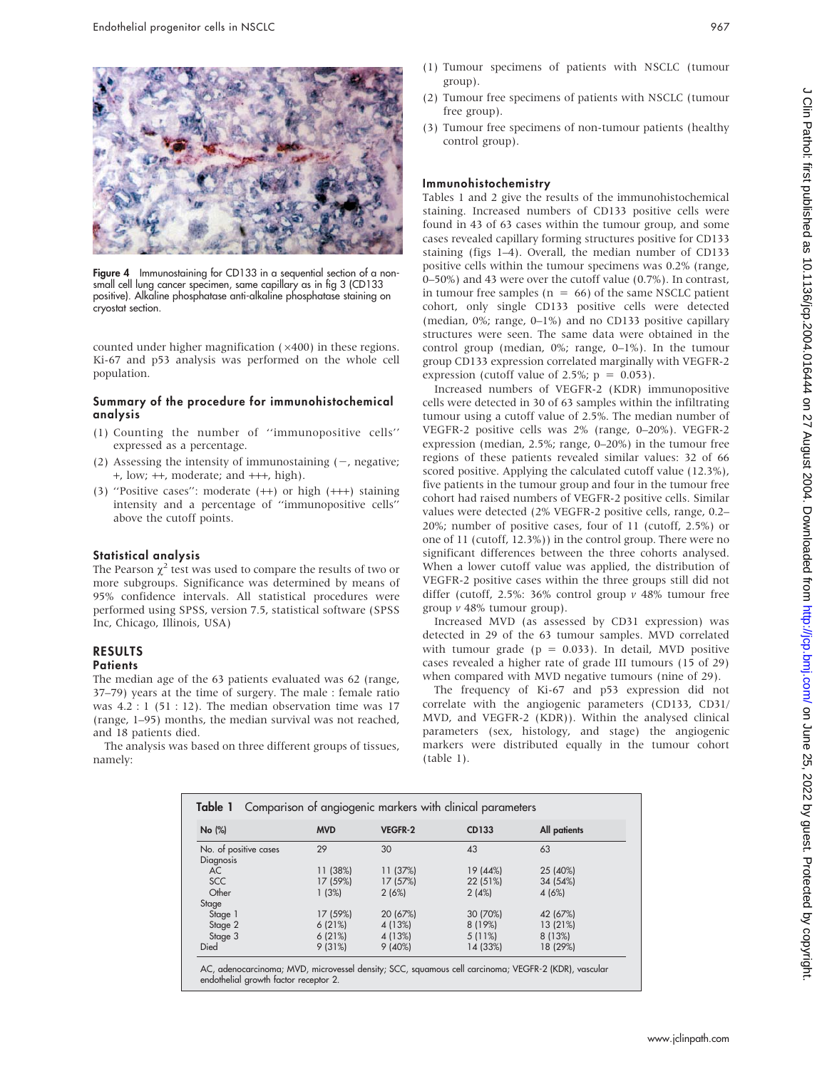

Figure 4 Immunostaining for CD133 in a sequential section of a nonsmall cell lung cancer specimen, same capillary as in fig 3 (CD133 positive). Alkaline phosphatase anti-alkaline phosphatase staining on cryostat section.

counted under higher magnification  $(x400)$  in these regions. Ki-67 and p53 analysis was performed on the whole cell population.

#### Summary of the procedure for immunohistochemical analysis

- (1) Counting the number of ''immunopositive cells'' expressed as a percentage.
- (2) Assessing the intensity of immunostaining  $(-)$ , negative; +, low; ++, moderate; and +++, high).
- (3) ''Positive cases'': moderate (++) or high (+++) staining intensity and a percentage of ''immunopositive cells'' above the cutoff points.

#### Statistical analysis

The Pearson  $\chi^2$  test was used to compare the results of two or more subgroups. Significance was determined by means of 95% confidence intervals. All statistical procedures were performed using SPSS, version 7.5, statistical software (SPSS Inc, Chicago, Illinois, USA)

# RESULTS

#### **Patients**

The median age of the 63 patients evaluated was 62 (range, 37–79) years at the time of surgery. The male : female ratio was 4.2 : 1 (51 : 12). The median observation time was 17 (range, 1–95) months, the median survival was not reached, and 18 patients died.

The analysis was based on three different groups of tissues, namely:

- (1) Tumour specimens of patients with NSCLC (tumour group).
- (2) Tumour free specimens of patients with NSCLC (tumour free group).
- (3) Tumour free specimens of non-tumour patients (healthy control group).

#### Immunohistochemistry

Tables 1 and 2 give the results of the immunohistochemical staining. Increased numbers of CD133 positive cells were found in 43 of 63 cases within the tumour group, and some cases revealed capillary forming structures positive for CD133 staining (figs 1–4). Overall, the median number of CD133 positive cells within the tumour specimens was 0.2% (range, 0–50%) and 43 were over the cutoff value (0.7%). In contrast, in tumour free samples ( $n = 66$ ) of the same NSCLC patient cohort, only single CD133 positive cells were detected (median, 0%; range, 0–1%) and no CD133 positive capillary structures were seen. The same data were obtained in the control group (median, 0%; range, 0–1%). In the tumour group CD133 expression correlated marginally with VEGFR-2 expression (cutoff value of 2.5%;  $p = 0.053$ ).

Increased numbers of VEGFR-2 (KDR) immunopositive cells were detected in 30 of 63 samples within the infiltrating tumour using a cutoff value of 2.5%. The median number of VEGFR-2 positive cells was 2% (range, 0–20%). VEGFR-2 expression (median, 2.5%; range, 0–20%) in the tumour free regions of these patients revealed similar values: 32 of 66 scored positive. Applying the calculated cutoff value (12.3%), five patients in the tumour group and four in the tumour free cohort had raised numbers of VEGFR-2 positive cells. Similar values were detected (2% VEGFR-2 positive cells, range, 0.2– 20%; number of positive cases, four of 11 (cutoff, 2.5%) or one of 11 (cutoff, 12.3%)) in the control group. There were no significant differences between the three cohorts analysed. When a lower cutoff value was applied, the distribution of VEGFR-2 positive cases within the three groups still did not differ (cutoff, 2.5%: 36% control group  $v$  48% tumour free group v 48% tumour group).

Increased MVD (as assessed by CD31 expression) was detected in 29 of the 63 tumour samples. MVD correlated with tumour grade ( $p = 0.033$ ). In detail, MVD positive cases revealed a higher rate of grade III tumours (15 of 29) when compared with MVD negative tumours (nine of 29).

The frequency of Ki-67 and p53 expression did not correlate with the angiogenic parameters (CD133, CD31/ MVD, and VEGFR-2 (KDR)). Within the analysed clinical parameters (sex, histology, and stage) the angiogenic markers were distributed equally in the tumour cohort (table 1).

| $No$ $%$              | <b>MVD</b> | <b>VEGFR-2</b> | CD133     | All patients |
|-----------------------|------------|----------------|-----------|--------------|
| No. of positive cases | 29         | 30             | 43        | 63           |
| Diagnosis             |            |                |           |              |
| AC                    | 11 (38%)   | 11(37%)        | 19 (44%)  | 25 (40%)     |
| <b>SCC</b>            | 17 (59%)   | 17 (57%)       | 22 (51%)  | 34 (54%)     |
| Other                 | 1(3%)      | 2(6%)          | 2(4%)     | 4(6%)        |
| Stage                 |            |                |           |              |
| Stage 1               | 17 (59%)   | 20 (67%)       | 30 (70%)  | 42 (67%)     |
| Stage 2               | 6(21%)     | 4 (13%)        | 8(19%)    | 13 (21%)     |
| Stage 3               | 6(21%)     | 4 (13%)        | $5(11\%)$ | 8 (13%)      |
| <b>Died</b>           | 9(31%)     | 9(40%)         | 14 (33%)  | 18 (29%)     |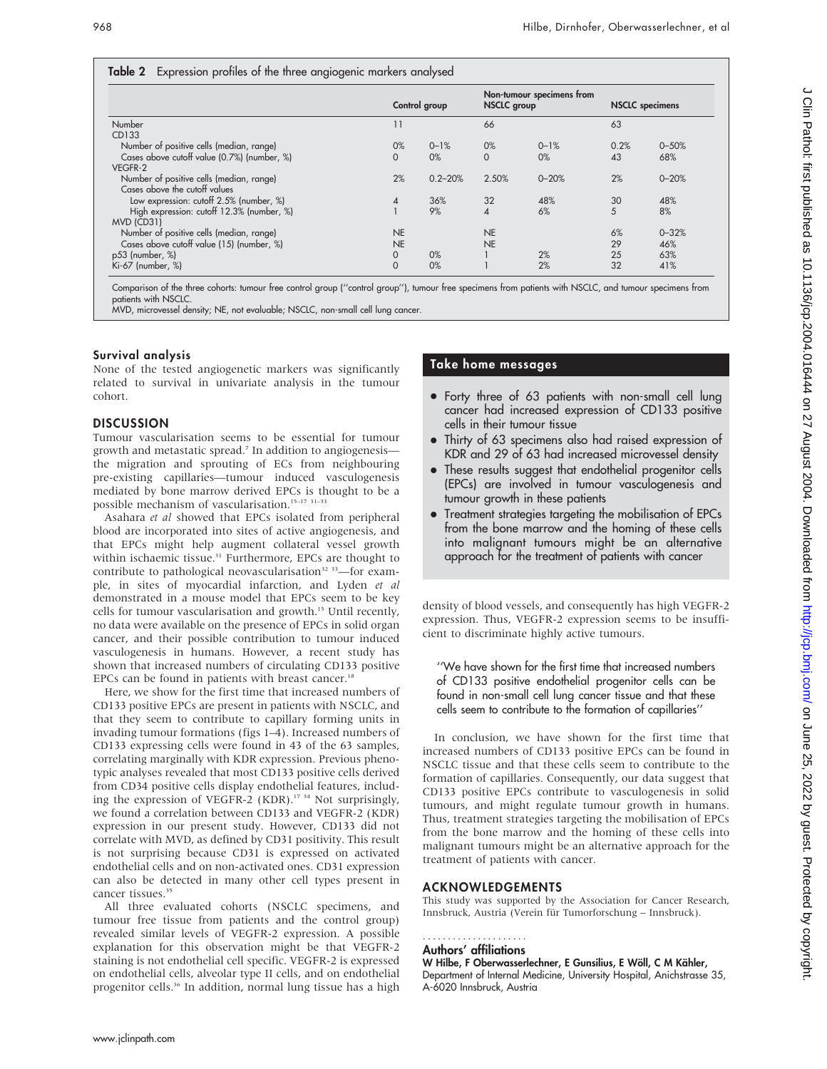#### Table 2 Expression profiles of the three angiogenic markers analysed

|                                             | Control group |             | Non-tumour specimens from<br><b>NSCLC</b> group |           | <b>NSCLC</b> specimens |           |
|---------------------------------------------|---------------|-------------|-------------------------------------------------|-----------|------------------------|-----------|
| Number                                      |               |             | 66                                              |           | 63                     |           |
| CD133                                       |               |             |                                                 |           |                        |           |
| Number of positive cells (median, range)    | 0%            | $0 - 1%$    | 0%                                              | $0 - 1%$  | 0.2%                   | $0 - 50%$ |
| Cases above cutoff value (0.7%) (number, %) | $\Omega$      | 0%          | $\Omega$                                        | 0%        | 43                     | 68%       |
| VEGFR-2                                     |               |             |                                                 |           |                        |           |
| Number of positive cells (median, range)    | 2%            | $0.2 - 20%$ | 2.50%                                           | $0 - 20%$ | 2%                     | $0 - 20%$ |
| Cases above the cutoff values               |               |             |                                                 |           |                        |           |
| Low expression: cutoff 2.5% (number, %)     | 4             | 36%         | 32                                              | 48%       | 30                     | 48%       |
| High expression: cutoff 12.3% (number, %)   |               | 9%          | 4                                               | 6%        | 5                      | 8%        |
| MVD (CD31)                                  |               |             |                                                 |           |                        |           |
| Number of positive cells (median, range)    | <b>NE</b>     |             | <b>NE</b>                                       |           | 6%                     | $0 - 32%$ |
| Cases above cutoff value (15) (number, %)   | <b>NE</b>     |             | <b>NE</b>                                       |           | 29                     | 46%       |
| p53 (number, %)                             | $\Omega$      | 0%          |                                                 | 2%        | 25                     | 63%       |
| Ki-67 (number, %)                           | $\Omega$      | 0%          |                                                 | 2%        | 32                     | 41%       |

Comparison of the three cohorts: tumour free control group (''control group''), tumour free specimens from patients with NSCLC, and tumour specimens from patients with NSCLC.

MVD, microvessel density; NE, not evaluable; NSCLC, non-small cell lung cancer.

#### Survival analysis

None of the tested angiogenetic markers was significantly related to survival in univariate analysis in the tumour cohort.

# **DISCUSSION**

Tumour vascularisation seems to be essential for tumour growth and metastatic spread.<sup>7</sup> In addition to angiogenesisthe migration and sprouting of ECs from neighbouring pre-existing capillaries—tumour induced vasculogenesis mediated by bone marrow derived EPCs is thought to be a possible mechanism of vascularisation.15–17 31–33

Asahara et al showed that EPCs isolated from peripheral blood are incorporated into sites of active angiogenesis, and that EPCs might help augment collateral vessel growth within ischaemic tissue.<sup>31</sup> Furthermore, EPCs are thought to contribute to pathological neovascularisation<sup>32</sup> <sup>33</sup>-for example, in sites of myocardial infarction, and Lyden et al demonstrated in a mouse model that EPCs seem to be key cells for tumour vascularisation and growth.<sup>15</sup> Until recently, no data were available on the presence of EPCs in solid organ cancer, and their possible contribution to tumour induced vasculogenesis in humans. However, a recent study has shown that increased numbers of circulating CD133 positive EPCs can be found in patients with breast cancer.<sup>18</sup>

Here, we show for the first time that increased numbers of CD133 positive EPCs are present in patients with NSCLC, and that they seem to contribute to capillary forming units in invading tumour formations (figs 1–4). Increased numbers of CD133 expressing cells were found in 43 of the 63 samples, correlating marginally with KDR expression. Previous phenotypic analyses revealed that most CD133 positive cells derived from CD34 positive cells display endothelial features, including the expression of VEGFR-2 (KDR).<sup>17 34</sup> Not surprisingly, we found a correlation between CD133 and VEGFR-2 (KDR) expression in our present study. However, CD133 did not correlate with MVD, as defined by CD31 positivity. This result is not surprising because CD31 is expressed on activated endothelial cells and on non-activated ones. CD31 expression can also be detected in many other cell types present in cancer tissues.<sup>35</sup>

All three evaluated cohorts (NSCLC specimens, and tumour free tissue from patients and the control group) revealed similar levels of VEGFR-2 expression. A possible explanation for this observation might be that VEGFR-2 staining is not endothelial cell specific. VEGFR-2 is expressed on endothelial cells, alveolar type II cells, and on endothelial progenitor cells.<sup>36</sup> In addition, normal lung tissue has a high

# Take home messages

- Forty three of 63 patients with non-small cell lung cancer had increased expression of CD133 positive cells in their tumour tissue
- Thirty of 63 specimens also had raised expression of KDR and 29 of 63 had increased microvessel density
- These results suggest that endothelial progenitor cells (EPCs) are involved in tumour vasculogenesis and tumour growth in these patients
- Treatment strategies targeting the mobilisation of EPCs from the bone marrow and the homing of these cells into malignant tumours might be an alternative approach for the treatment of patients with cancer

density of blood vessels, and consequently has high VEGFR-2 expression. Thus, VEGFR-2 expression seems to be insufficient to discriminate highly active tumours.

''We have shown for the first time that increased numbers of CD133 positive endothelial progenitor cells can be found in non-small cell lung cancer tissue and that these cells seem to contribute to the formation of capillaries''

In conclusion, we have shown for the first time that increased numbers of CD133 positive EPCs can be found in NSCLC tissue and that these cells seem to contribute to the formation of capillaries. Consequently, our data suggest that CD133 positive EPCs contribute to vasculogenesis in solid tumours, and might regulate tumour growth in humans. Thus, treatment strategies targeting the mobilisation of EPCs from the bone marrow and the homing of these cells into malignant tumours might be an alternative approach for the treatment of patients with cancer.

#### ACKNOWLEDGEMENTS

This study was supported by the Association for Cancer Research, Innsbruck, Austria (Verein für Tumorforschung – Innsbruck).

#### Authors' affiliations .....................

W Hilbe, F Oberwasserlechner, E Gunsilius, E Wöll, C M Kähler, Department of Internal Medicine, University Hospital, Anichstrasse 35, A-6020 Innsbruck, Austria